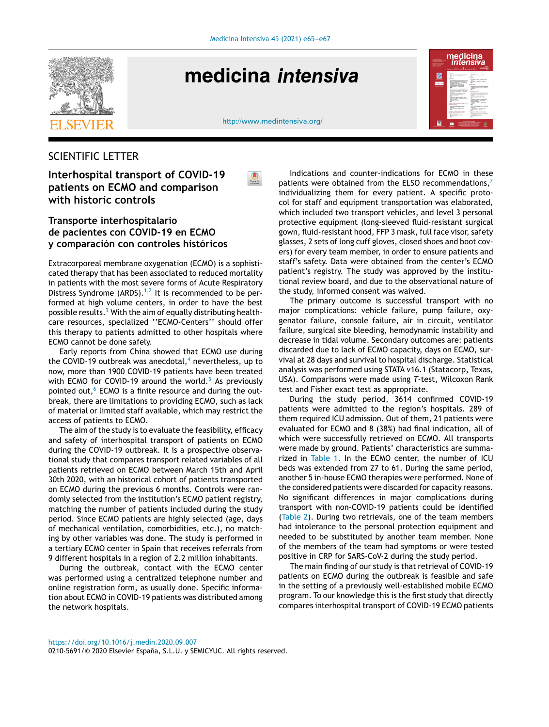

# medicina intensiva

nedicina<br>Intensi 区

<http://www.medintensiva.org/>

## SCIENTIFIC LETTER

## **Interhospital transport of COVID-19 patients on ECMO and comparison with historic controls**

## **Transporte interhospitalario de pacientes con COVID-19 en ECMO y comparación con controles históricos**

Extracorporeal membrane oxygenation (ECMO) is a sophisticated therapy that has been associated to reduced mortality in patients with the most severe forms of Acute Respiratory Distress Syndrome (ARDS).<sup>[1,2](#page-2-0)</sup> It is recommended to be performed at high volume centers, in order to have the best possible results.<sup>3</sup> [W](#page-2-0)ith the aim of equally distributing healthcare resources, specialized ''ECMO-Centers'' should offer this therapy to patients admitted to other hospitals where ECMO cannot be done safely.

Early reports from China showed that ECMO use during the COVID-19 outbreak was anecdotal, $4$  nevertheless, up to now, more than 1900 COVID-19 patients have been treated with ECMO for COVID-19 around the world. $5$  As previously pointed out, $6$  ECMO is a finite resource and during the outbreak, there are limitations to providing ECMO, such as lack of material or limited staff available, which may restrict the access of patients to ECMO.

The aim of the study is to evaluate the feasibility, efficacy and safety of interhospital transport of patients on ECMO during the COVID-19 outbreak. It is a prospective observational study that compares transport related variables of all patients retrieved on ECMO between March 15th and April 30th 2020, with an historical cohort of patients transported on ECMO during the previous 6 months. Controls were randomly selected from the institution's ECMO patient registry, matching the number of patients included during the study period. Since ECMO patients are highly selected (age, days of mechanical ventilation, comorbidities, etc.), no matching by other variables was done. The study is performed in a tertiary ECMO center in Spain that receives referrals from 9 different hospitals in a region of 2.2 million inhabitants.

During the outbreak, contact with the ECMO center was performed using a centralized telephone number and online registration form, as usually done. Specific information about ECMO in COVID-19 patients was distributed among the network hospitals.

Indications and counter-indications for ECMO in these patients were obtained from the ELSO recommendations, $<sup>7</sup>$  $<sup>7</sup>$  $<sup>7</sup>$ </sup> individualizing them for every patient. A specific protocol for staff and equipment transportation was elaborated, which included two transport vehicles, and level 3 personal protective equipment (long-sleeved fluid-resistant surgical gown, fluid-resistant hood, FFP 3 mask, full face visor, safety glasses, 2 sets of long cuff gloves, closed shoes and boot covers) for every team member, in order to ensure patients and staff's safety. Data were obtained from the center's ECMO patient's registry. The study was approved by the institutional review board, and due to the observational nature of the study, informed consent was waived.

The primary outcome is successful transport with no major complications: vehicle failure, pump failure, oxygenator failure, console failure, air in circuit, ventilator failure, surgical site bleeding, hemodynamic instability and decrease in tidal volume. Secondary outcomes are: patients discarded due to lack of ECMO capacity, days on ECMO, survival at 28 days and survival to hospital discharge. Statistical analysis was performed using STATA v16.1 (Statacorp, Texas, USA). Comparisons were made using *T*-test, Wilcoxon Rank test and Fisher exact test as appropriate.

During the study period, 3614 confirmed COVID-19 patients were admitted to the region's hospitals. 289 of them required ICU admission. Out of them, 21 patients were evaluated for ECMO and 8 (38%) had final indication, all of which were successfully retrieved on ECMO. All transports were made by ground. Patients' characteristics are summarized in [Table](#page-1-0) 1. In the ECMO center, the number of ICU beds was extended from 27 to 61. During the same period, another 5 in-house ECMO therapies were performed. None of the considered patients were discarded for capacity reasons. No significant differences in major complications during transport with non-COVID-19 patients could be identified ([Table](#page-1-0) 2). During two retrievals, one of the team members had intolerance to the personal protection equipment and needed to be substituted by another team member. None of the members of the team had symptoms or were tested positive in CRP for SARS-CoV-2 during the study period.

The main finding of our study is that retrieval of COVID-19 patients on ECMO during the outbreak is feasible and safe in the setting of a previously well-established mobile ECMO program. To our knowledge this is the first study that directly compares interhospital transport of COVID-19 ECMO patients

0210-5691/© 2020 Elsevier España, S.L.U. y SEMICYUC. All rights reserved.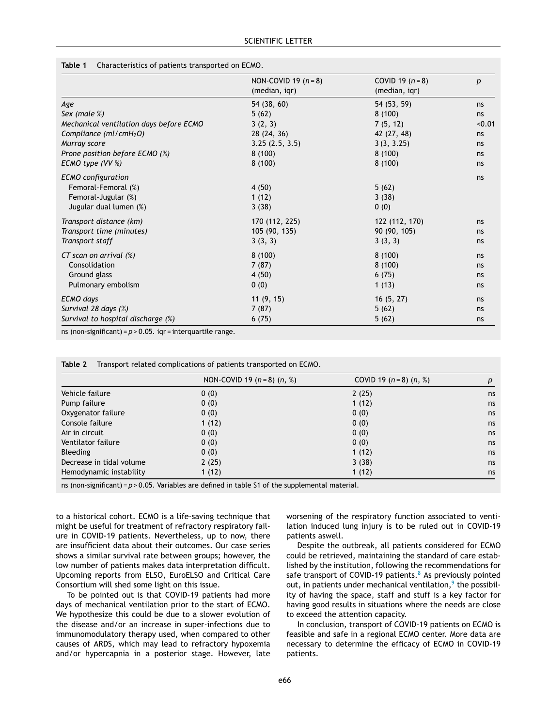#### <span id="page-1-0"></span>**Table 1** Characteristics of patients transported on ECMO.

|                                                                         | NON-COVID 19 $(n=8)$<br>(median, igr) | COVID 19 $(n = 8)$<br>(median, igr) | $\boldsymbol{p}$ |
|-------------------------------------------------------------------------|---------------------------------------|-------------------------------------|------------------|
| Age                                                                     | 54 (38, 60)                           | 54 (53, 59)                         | ns               |
| Sex (male $\%$ )                                                        | 5(62)                                 | 8(100)                              | ns               |
| Mechanical ventilation days before ECMO                                 | 3(2, 3)                               | 7(5, 12)                            | < 0.01           |
| Compliance ( $ml/cmH2O$ )                                               | 28 (24, 36)                           | 42 (27, 48)                         | ns               |
| Murray score                                                            | 3.25(2.5, 3.5)                        | 3(3, 3.25)                          | ns               |
| Prone position before ECMO (%)                                          | 8(100)                                | 8(100)                              | ns               |
| ECMO type (VV %)                                                        | 8(100)                                | 8(100)                              | ns               |
| <b>ECMO</b> configuration<br>Femoral-Femoral (%)<br>Femoral-Jugular (%) | 4(50)<br>1(12)                        | 5(62)<br>3(38)                      | ns               |
| Jugular dual lumen (%)                                                  | 3(38)                                 | 0(0)                                |                  |
| Transport distance (km)                                                 | 170 (112, 225)                        | 122 (112, 170)                      | ns               |
| Transport time (minutes)                                                | 105 (90, 135)                         | 90 (90, 105)                        | ns               |
| Transport staff                                                         | 3(3, 3)                               | 3(3, 3)                             | ns               |
| CT scan on arrival $(\%)$                                               | 8(100)                                | 8(100)                              | ns               |
| Consolidation                                                           | 7(87)                                 | 8(100)                              | ns               |
| Ground glass                                                            | 4(50)                                 | 6(75)                               | ns               |
| Pulmonary embolism                                                      | 0(0)                                  | 1(13)                               | ns               |
| <b>ECMO</b> days                                                        | 11(9, 15)                             | 16(5, 27)                           | ns               |
| Survival 28 days (%)                                                    | 7(87)                                 | 5(62)                               | ns               |
| Survival to hospital discharge (%)                                      | 6(75)                                 | 5(62)                               | ns               |

ns (non-significant) =  $p > 0.05$ . iqr = interquartile range.

|                          | NON-COVID 19 $(n=8)$ $(n, %)$ | COVID 19 $(n=8)$ $(n, %)$ | p  |
|--------------------------|-------------------------------|---------------------------|----|
| Vehicle failure          | 0(0)                          | 2(25)                     | ns |
| Pump failure             | 0(0)                          | 1(12)                     | ns |
| Oxygenator failure       | 0(0)                          | 0(0)                      | ns |
| Console failure          | 1(12)                         | 0(0)                      | ns |
| Air in circuit           | 0(0)                          | 0(0)                      | ns |
| Ventilator failure       | 0(0)                          | 0(0)                      | ns |
| <b>Bleeding</b>          | 0(0)                          | 1(12)                     | ns |
| Decrease in tidal volume | 2(25)                         | 3(38)                     | ns |
| Hemodynamic instability  | 1(12)                         | 1(12)                     | ns |

**Table 2** Transport related complications of patients transported on ECMO.

ns (non-significant) = *p* > 0.05. Variables are defined in table S1 of the supplemental material.

to a historical cohort. ECMO is a life-saving technique that might be useful for treatment of refractory respiratory failure in COVID-19 patients. Nevertheless, up to now, there are insufficient data about their outcomes. Our case series shows a similar survival rate between groups; however, the low number of patients makes data interpretation difficult. Upcoming reports from ELSO, EuroELSO and Critical Care Consortium will shed some light on this issue.

To be pointed out is that COVID-19 patients had more days of mechanical ventilation prior to the start of ECMO. We hypothesize this could be due to a slower evolution of the disease and/or an increase in super-infections due to immunomodulatory therapy used, when compared to other causes of ARDS, which may lead to refractory hypoxemia and/or hypercapnia in a posterior stage. However, late worsening of the respiratory function associated to ventilation induced lung injury is to be ruled out in COVID-19 patients aswell.

Despite the outbreak, all patients considered for ECMO could be retrieved, maintaining the standard of care established by the institution, following the recommendations for safe transport of COVID-19 patients.<sup>[8](#page-2-0)</sup> As previously pointed ou[t](#page-2-0), in patients under mechanical ventilation,<sup>9</sup> the possibility of having the space, staff and stuff is a key factor for having good results in situations where the needs are close to exceed the attention capacity.

In conclusion, transport of COVID-19 patients on ECMO is feasible and safe in a regional ECMO center. More data are necessary to determine the efficacy of ECMO in COVID-19 patients.